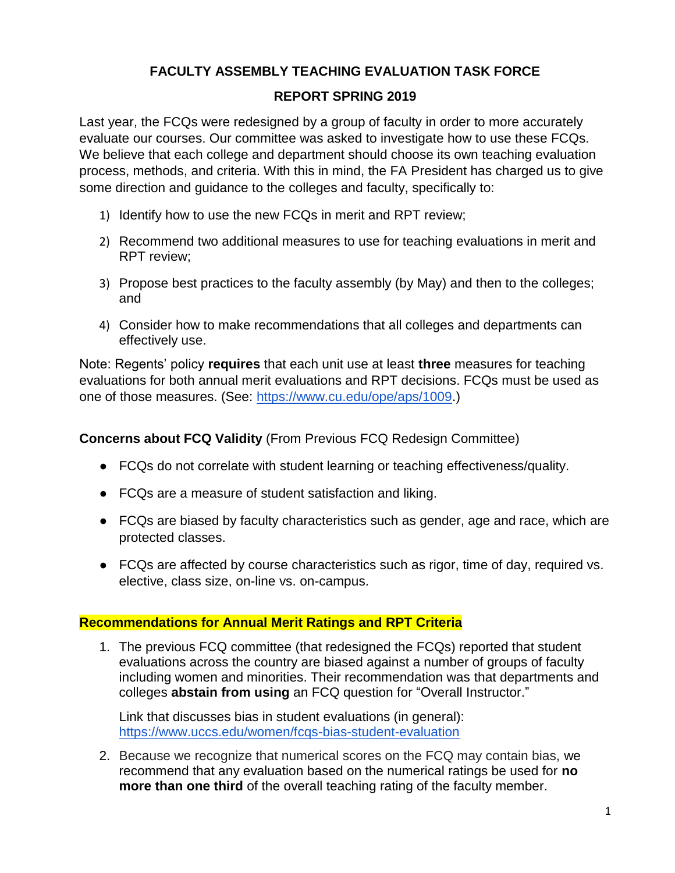## **FACULTY ASSEMBLY TEACHING EVALUATION TASK FORCE**

## **REPORT SPRING 2019**

Last year, the FCQs were redesigned by a group of faculty in order to more accurately evaluate our courses. Our committee was asked to investigate how to use these FCQs. We believe that each college and department should choose its own teaching evaluation process, methods, and criteria. With this in mind, the FA President has charged us to give some direction and guidance to the colleges and faculty, specifically to:

- 1) Identify how to use the new FCQs in merit and RPT review;
- 2) Recommend two additional measures to use for teaching evaluations in merit and RPT review;
- 3) Propose best practices to the faculty assembly (by May) and then to the colleges; and
- 4) Consider how to make recommendations that all colleges and departments can effectively use.

Note: Regents' policy **requires** that each unit use at least **three** measures for teaching evaluations for both annual merit evaluations and RPT decisions. FCQs must be used as one of those measures. (See: [https://www.cu.edu/ope/aps/1009.](https://www.cu.edu/ope/aps/1009))

**Concerns about FCQ Validity** (From Previous FCQ Redesign Committee)

- FCQs do not correlate with student learning or teaching effectiveness/quality.
- FCQs are a measure of student satisfaction and liking.
- FCQs are biased by faculty characteristics such as gender, age and race, which are protected classes.
- FCQs are affected by course characteristics such as rigor, time of day, required vs. elective, class size, on-line vs. on-campus.

## **Recommendations for Annual Merit Ratings and RPT Criteria**

1. The previous FCQ committee (that redesigned the FCQs) reported that student evaluations across the country are biased against a number of groups of faculty including women and minorities. Their recommendation was that departments and colleges **abstain from using** an FCQ question for "Overall Instructor."

Link that discusses bias in student evaluations (in general): <https://www.uccs.edu/women/fcqs-bias-student-evaluation>

2. Because we recognize that numerical scores on the FCQ may contain bias, we recommend that any evaluation based on the numerical ratings be used for **no more than one third** of the overall teaching rating of the faculty member.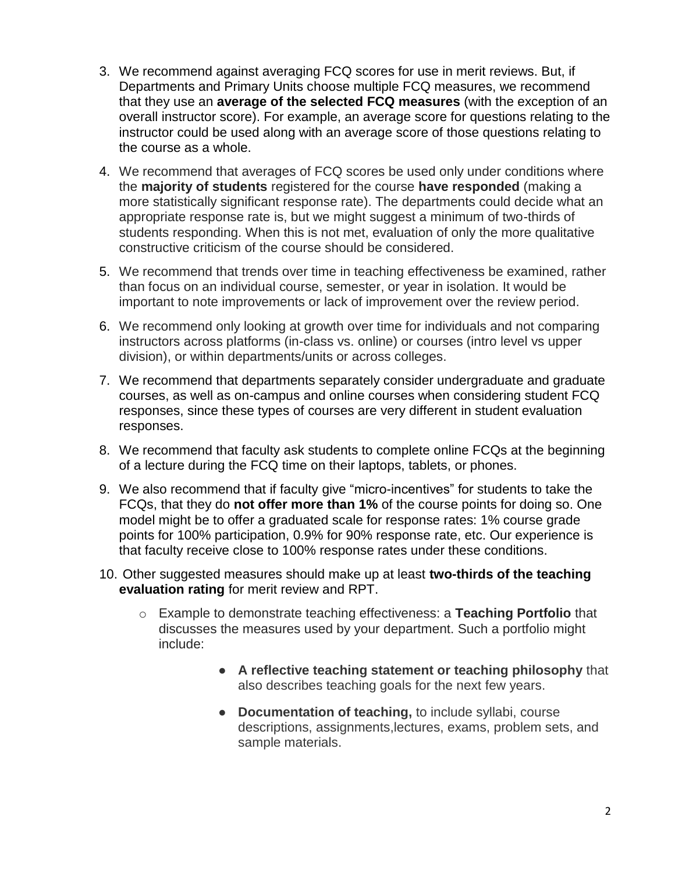- 3. We recommend against averaging FCQ scores for use in merit reviews. But, if Departments and Primary Units choose multiple FCQ measures, we recommend that they use an **average of the selected FCQ measures** (with the exception of an overall instructor score). For example, an average score for questions relating to the instructor could be used along with an average score of those questions relating to the course as a whole.
- 4. We recommend that averages of FCQ scores be used only under conditions where the **majority of students** registered for the course **have responded** (making a more statistically significant response rate). The departments could decide what an appropriate response rate is, but we might suggest a minimum of two-thirds of students responding. When this is not met, evaluation of only the more qualitative constructive criticism of the course should be considered.
- 5. We recommend that trends over time in teaching effectiveness be examined, rather than focus on an individual course, semester, or year in isolation. It would be important to note improvements or lack of improvement over the review period.
- 6. We recommend only looking at growth over time for individuals and not comparing instructors across platforms (in-class vs. online) or courses (intro level vs upper division), or within departments/units or across colleges.
- 7. We recommend that departments separately consider undergraduate and graduate courses, as well as on-campus and online courses when considering student FCQ responses, since these types of courses are very different in student evaluation responses.
- 8. We recommend that faculty ask students to complete online FCQs at the beginning of a lecture during the FCQ time on their laptops, tablets, or phones.
- 9. We also recommend that if faculty give "micro-incentives" for students to take the FCQs, that they do **not offer more than 1%** of the course points for doing so. One model might be to offer a graduated scale for response rates: 1% course grade points for 100% participation, 0.9% for 90% response rate, etc. Our experience is that faculty receive close to 100% response rates under these conditions.
- 10. Other suggested measures should make up at least **two-thirds of the teaching evaluation rating** for merit review and RPT.
	- o Example to demonstrate teaching effectiveness: a **Teaching Portfolio** that discusses the measures used by your department. Such a portfolio might include:
		- **A reflective teaching statement or teaching philosophy** that also describes teaching goals for the next few years.
		- **Documentation of teaching,** to include syllabi, course descriptions, assignments,lectures, exams, problem sets, and sample materials.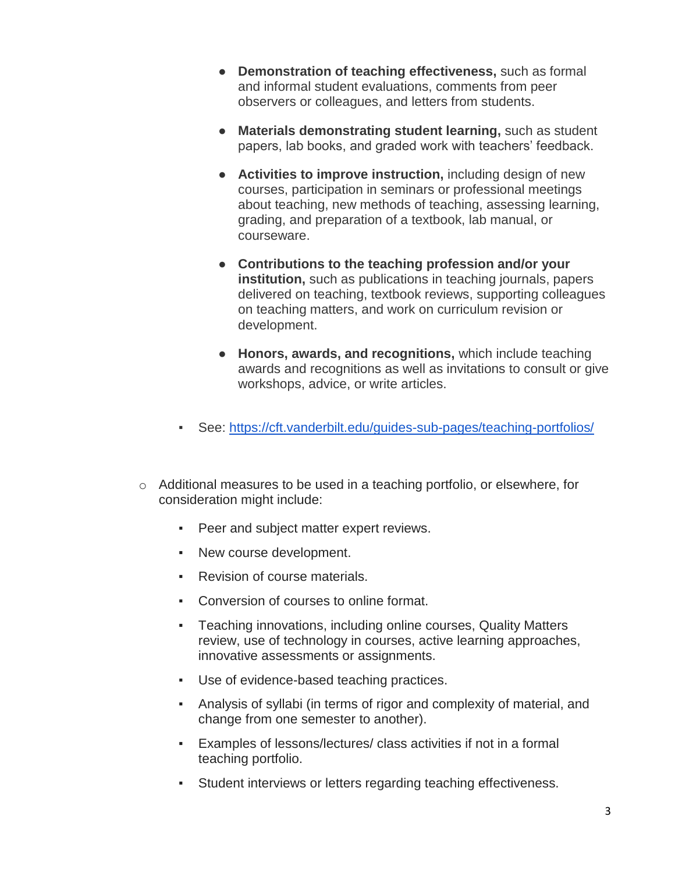- **Demonstration of teaching effectiveness,** such as formal and informal student evaluations, comments from peer observers or colleagues, and letters from students.
- **Materials demonstrating student learning,** such as student papers, lab books, and graded work with teachers' feedback.
- **Activities to improve instruction,** including design of new courses, participation in seminars or professional meetings about teaching, new methods of teaching, assessing learning, grading, and preparation of a textbook, lab manual, or courseware.
- **Contributions to the teaching profession and/or your institution,** such as publications in teaching journals, papers delivered on teaching, textbook reviews, supporting colleagues on teaching matters, and work on curriculum revision or development.
- **Honors, awards, and recognitions,** which include teaching awards and recognitions as well as invitations to consult or give workshops, advice, or write articles.
- See:<https://cft.vanderbilt.edu/guides-sub-pages/teaching-portfolios/>
- o Additional measures to be used in a teaching portfolio, or elsewhere, for consideration might include:
	- Peer and subject matter expert reviews.
	- New course development.
	- Revision of course materials.
	- Conversion of courses to online format.
	- Teaching innovations, including online courses, Quality Matters review, use of technology in courses, active learning approaches, innovative assessments or assignments.
	- Use of evidence-based teaching practices.
	- Analysis of syllabi (in terms of rigor and complexity of material, and change from one semester to another).
	- Examples of lessons/lectures/ class activities if not in a formal teaching portfolio.
	- Student interviews or letters regarding teaching effectiveness.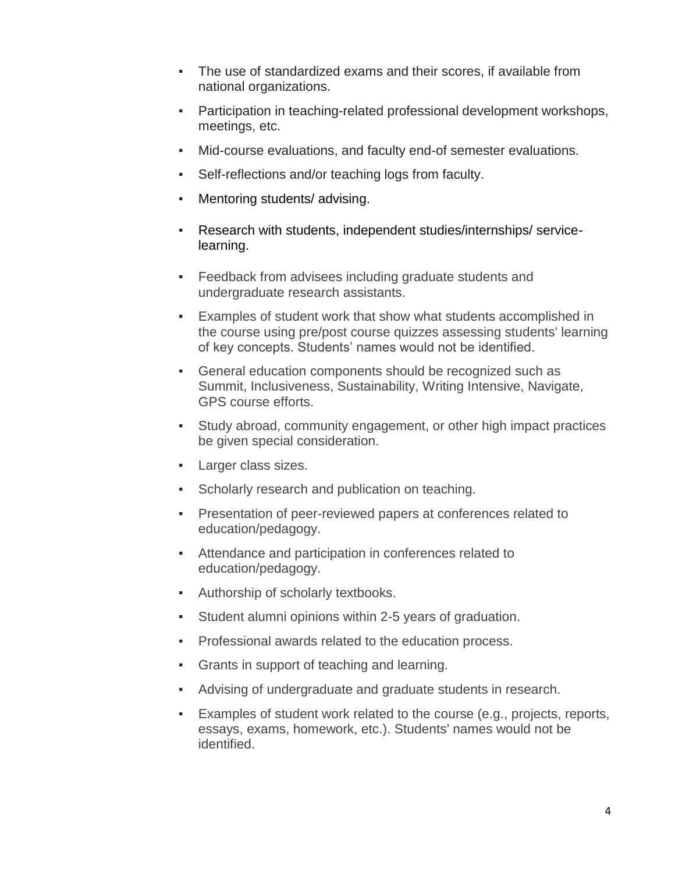- The use of standardized exams and their scores, if available from national organizations.
- Participation in teaching-related professional development workshops, meetings, etc.
- Mid-course evaluations, and faculty end-of semester evaluations.
- Self-reflections and/or teaching logs from faculty.
- Mentoring students/ advising.
- Research with students, independent studies/internships/ servicelearning.
- Feedback from advisees including graduate students and undergraduate research assistants.
- Examples of student work that show what students accomplished in the course using pre/post course quizzes assessing students' learning of key concepts. Students' names would not be identified.
- General education components should be recognized such as Summit, Inclusiveness, Sustainability, Writing Intensive, Navigate, GPS course efforts.
- Study abroad, community engagement, or other high impact practices be given special consideration.
- Larger class sizes.
- Scholarly research and publication on teaching.
- Presentation of peer-reviewed papers at conferences related to education/pedagogy.
- Attendance and participation in conferences related to education/pedagogy.
- Authorship of scholarly textbooks.
- Student alumni opinions within 2-5 years of graduation.
- Professional awards related to the education process.
- Grants in support of teaching and learning.
- Advising of undergraduate and graduate students in research.
- Examples of student work related to the course (e.g., projects, reports, essays, exams, homework, etc.). Students' names would not be identified.